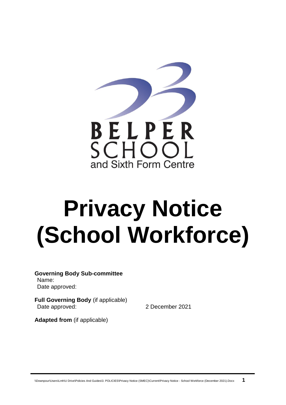

# **Privacy Notice (School Workforce)**

**Governing Body Sub-committee** Name: Date approved:

**Full Governing Body** (if applicable) Date approved: 2 December 2021

**Adapted from** (if applicable)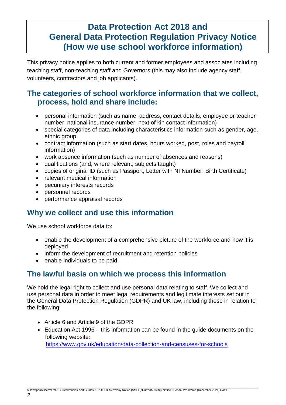## **Data Protection Act 2018 and General Data Protection Regulation Privacy Notice (How we use school workforce information)**

This privacy notice applies to both current and former employees and associates including teaching staff, non-teaching staff and Governors (this may also include agency staff, volunteers, contractors and job applicants).

#### **The categories of school workforce information that we collect, process, hold and share include:**

- personal information (such as name, address, contact details, employee or teacher number, national insurance number, next of kin contact information)
- special categories of data including characteristics information such as gender, age, ethnic group
- contract information (such as start dates, hours worked, post, roles and payroll information)
- work absence information (such as number of absences and reasons)
- qualifications (and, where relevant, subjects taught)
- copies of original ID (such as Passport, Letter with NI Number, Birth Certificate)
- relevant medical information
- pecuniary interests records
- personnel records
- performance appraisal records

#### **Why we collect and use this information**

We use school workforce data to:

- enable the development of a comprehensive picture of the workforce and how it is deployed
- inform the development of recruitment and retention policies
- enable individuals to be paid

### **The lawful basis on which we process this information**

We hold the legal right to collect and use personal data relating to staff. We collect and use personal data in order to meet legal requirements and legitimate interests set out in the General Data Protection Regulation (GDPR) and UK law, including those in relation to the following:

- Article 6 and Article 9 of the GDPR
- Education Act 1996 this information can be found in the guide documents on the following website:

<https://www.gov.uk/education/data-collection-and-censuses-for-schools>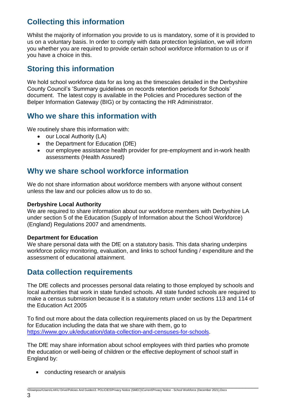## **Collecting this information**

Whilst the majority of information you provide to us is mandatory, some of it is provided to us on a voluntary basis. In order to comply with data protection legislation, we will inform you whether you are required to provide certain school workforce information to us or if you have a choice in this.

#### **Storing this information**

We hold school workforce data for as long as the timescales detailed in the Derbyshire County Council's 'Summary guidelines on records retention periods for Schools' document. The latest copy is available in the Policies and Procedures section of the Belper Information Gateway (BIG) or by contacting the HR Administrator.

#### **Who we share this information with**

We routinely share this information with:

- our Local Authority (LA)
- the Department for Education (DfE)
- our employee assistance health provider for pre-employment and in-work health assessments (Health Assured)

#### **Why we share school workforce information**

We do not share information about workforce members with anyone without consent unless the law and our policies allow us to do so.

#### **Derbyshire Local Authority**

We are required to share information about our workforce members with Derbyshire LA under section 5 of the Education (Supply of Information about the School Workforce) (England) Regulations 2007 and amendments.

#### **Department for Education**

We share personal data with the DfE on a statutory basis. This data sharing underpins workforce policy monitoring, evaluation, and links to school funding / expenditure and the assessment of educational attainment.

#### **Data collection requirements**

The DfE collects and processes personal data relating to those employed by schools and local authorities that work in state funded schools. All state funded schools are required to make a census submission because it is a statutory return under sections 113 and 114 of the Education Act 2005

To find out more about the data collection requirements placed on us by the Department for Education including the data that we share with them, go to [https://www.gov.uk/education/data-collection-and-censuses-for-schools.](https://www.gov.uk/education/data-collection-and-censuses-for-schools)

The DfE may share information about school employees with third parties who promote the education or well-being of children or the effective deployment of school staff in England by:

• conducting research or analysis